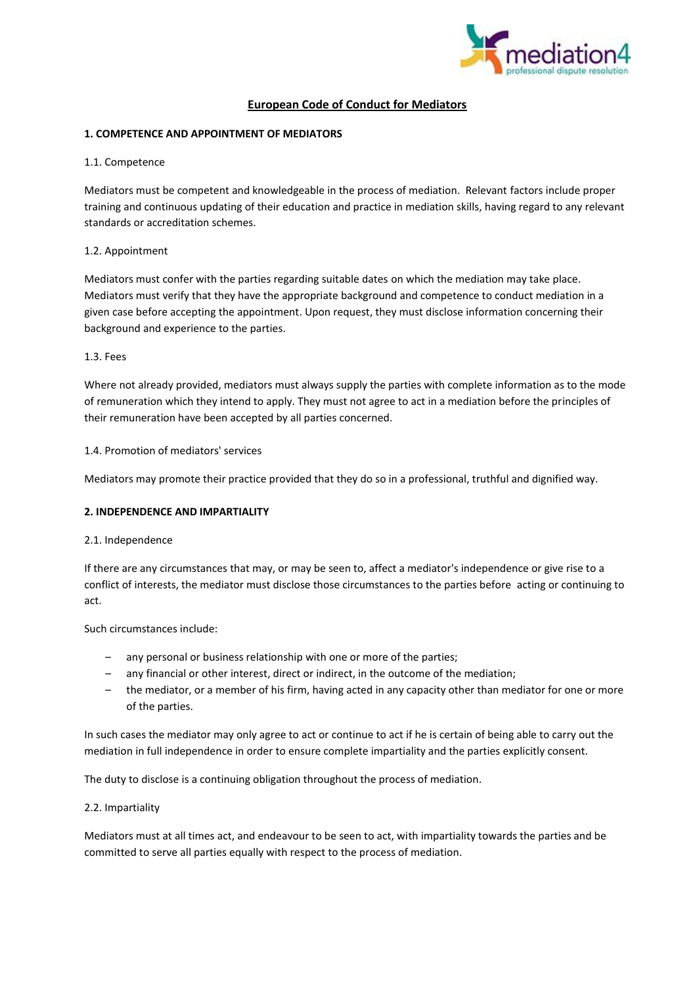

# **European Code of Conduct for Mediators**

## **1. COMPETENCE AND APPOINTMENT OF MEDIATORS**

1.1. Competence

Mediators must be competent and knowledgeable in the process of mediation. Relevant factors include proper training and continuous updating of their education and practice in mediation skills, having regard to any relevant standards or accreditation schemes.

### 1.2. Appointment

Mediators must confer with the parties regarding suitable dates on which the mediation may take place. Mediators must verify that they have the appropriate background and competence to conduct mediation in a given case before accepting the appointment. Upon request, they must disclose information concerning their background and experience to the parties.

### 1.3. Fees

Where not already provided, mediators must always supply the parties with complete information as to the mode of remuneration which they intend to apply. They must not agree to act in a mediation before the principles of their remuneration have been accepted by all parties concerned.

### 1.4. Promotion of mediators' services

Mediators may promote their practice provided that they do so in a professional, truthful and dignified way.

### **2. INDEPENDENCE AND IMPARTIALITY**

### 2.1. Independence

If there are any circumstances that may, or may be seen to, affect a mediator's independence or give rise to a conflict of interests, the mediator must disclose those circumstances to the parties before acting or continuing to act.

Such circumstances include:

- any personal or business relationship with one or more of the parties;
- any financial or other interest, direct or indirect, in the outcome of the mediation;
- the mediator, or a member of his firm, having acted in any capacity other than mediator for one or more of the parties.

In such cases the mediator may only agree to act or continue to act if he is certain of being able to carry out the mediation in full independence in order to ensure complete impartiality and the parties explicitly consent.

The duty to disclose is a continuing obligation throughout the process of mediation.

### 2.2. Impartiality

Mediators must at all times act, and endeavour to be seen to act, with impartiality towards the parties and be committed to serve all parties equally with respect to the process of mediation.